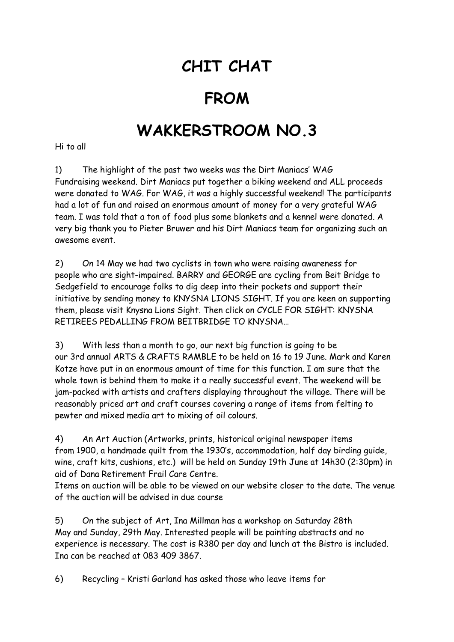## **CHIT CHAT**

## **FROM**

## **WAKKERSTROOM NO.3**

Hi to all

1) The highlight of the past two weeks was the Dirt Maniacs' WAG Fundraising weekend. Dirt Maniacs put together a biking weekend and ALL proceeds were donated to WAG. For WAG, it was a highly successful weekend! The participants had a lot of fun and raised an enormous amount of money for a very grateful WAG team. I was told that a ton of food plus some blankets and a kennel were donated. A very big thank you to Pieter Bruwer and his Dirt Maniacs team for organizing such an awesome event.

2) On 14 May we had two cyclists in town who were raising awareness for people who are sight-impaired. BARRY and GEORGE are cycling from Beit Bridge to Sedgefield to encourage folks to dig deep into their pockets and support their initiative by sending money to KNYSNA LIONS SIGHT. If you are keen on supporting them, please visit Knysna Lions Sight. Then click on CYCLE FOR SIGHT: KNYSNA RETIREES PEDALLING FROM BEITBRIDGE TO KNYSNA…

3) With less than a month to go, our next big function is going to be our 3rd annual ARTS & CRAFTS RAMBLE to be held on 16 to 19 June. Mark and Karen Kotze have put in an enormous amount of time for this function. I am sure that the whole town is behind them to make it a really successful event. The weekend will be jam-packed with artists and crafters displaying throughout the village. There will be reasonably priced art and craft courses covering a range of items from felting to pewter and mixed media art to mixing of oil colours.

4) An Art Auction (Artworks, prints, historical original newspaper items from 1900, a handmade quilt from the 1930's, accommodation, half day birding guide, wine, craft kits, cushions, etc.) will be held on Sunday 19th June at 14h30 (2:30pm) in aid of Dana Retirement Frail Care Centre.

Items on auction will be able to be viewed on our website closer to the date. The venue of the auction will be advised in due course

5) On the subject of Art, Ina Millman has a workshop on Saturday 28th May and Sunday, 29th May. Interested people will be painting abstracts and no experience is necessary. The cost is R380 per day and lunch at the Bistro is included. Ina can be reached at 083 409 3867.

6) Recycling – Kristi Garland has asked those who leave items for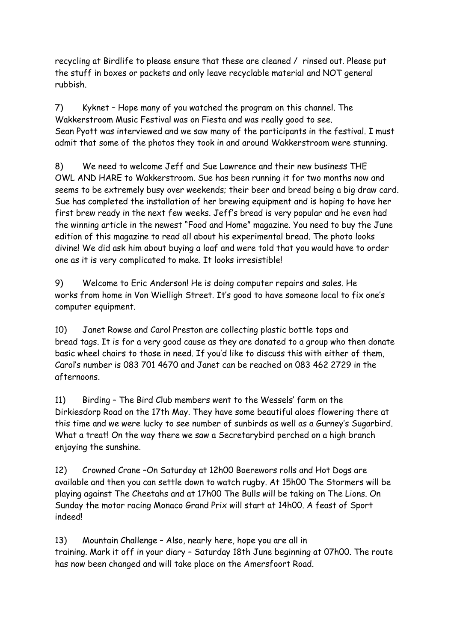recycling at Birdlife to please ensure that these are cleaned / rinsed out. Please put the stuff in boxes or packets and only leave recyclable material and NOT general rubbish.

7) Kyknet – Hope many of you watched the program on this channel. The Wakkerstroom Music Festival was on Fiesta and was really good to see. Sean Pyott was interviewed and we saw many of the participants in the festival. I must admit that some of the photos they took in and around Wakkerstroom were stunning.

8) We need to welcome Jeff and Sue Lawrence and their new business THE OWL AND HARE to Wakkerstroom. Sue has been running it for two months now and seems to be extremely busy over weekends; their beer and bread being a big draw card. Sue has completed the installation of her brewing equipment and is hoping to have her first brew ready in the next few weeks. Jeff's bread is very popular and he even had the winning article in the newest "Food and Home" magazine. You need to buy the June edition of this magazine to read all about his experimental bread. The photo looks divine! We did ask him about buying a loaf and were told that you would have to order one as it is very complicated to make. It looks irresistible!

9) Welcome to Eric Anderson! He is doing computer repairs and sales. He works from home in Von Wielligh Street. It's good to have someone local to fix one's computer equipment.

10) Janet Rowse and Carol Preston are collecting plastic bottle tops and bread tags. It is for a very good cause as they are donated to a group who then donate basic wheel chairs to those in need. If you'd like to discuss this with either of them, Carol's number is 083 701 4670 and Janet can be reached on 083 462 2729 in the afternoons.

11) Birding – The Bird Club members went to the Wessels' farm on the Dirkiesdorp Road on the 17th May. They have some beautiful aloes flowering there at this time and we were lucky to see number of sunbirds as well as a Gurney's Sugarbird. What a treat! On the way there we saw a Secretarybird perched on a high branch enjoying the sunshine.

12) Crowned Crane –On Saturday at 12h00 Boerewors rolls and Hot Dogs are available and then you can settle down to watch rugby. At 15h00 The Stormers will be playing against The Cheetahs and at 17h00 The Bulls will be taking on The Lions. On Sunday the motor racing Monaco Grand Prix will start at 14h00. A feast of Sport indeed!

13) Mountain Challenge – Also, nearly here, hope you are all in training. Mark it off in your diary – Saturday 18th June beginning at 07h00. The route has now been changed and will take place on the Amersfoort Road.